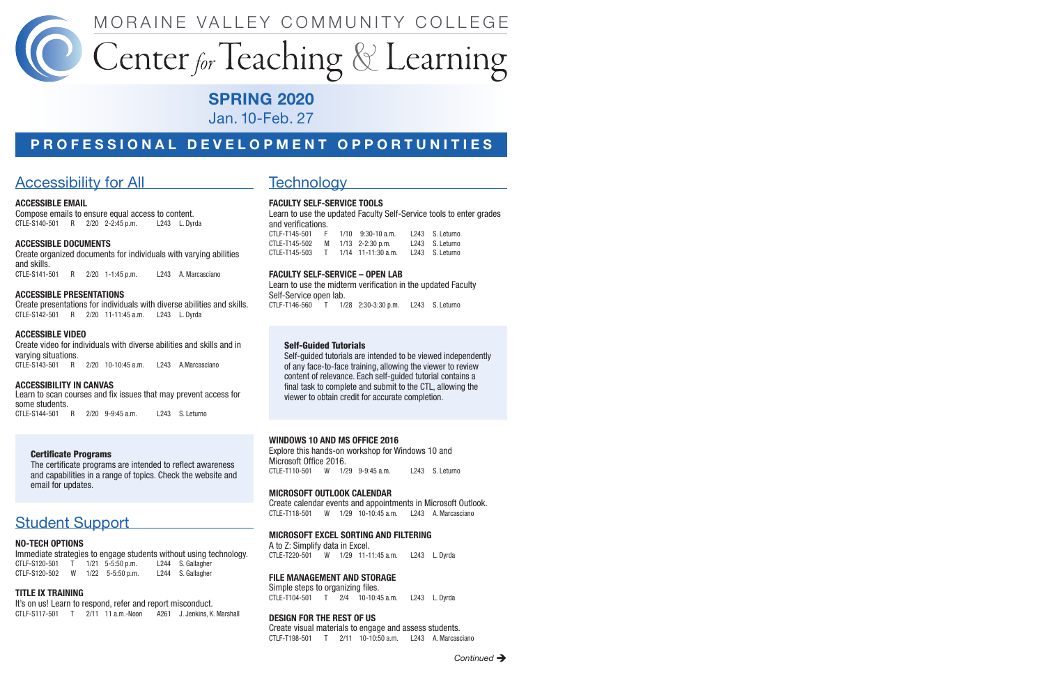

# Center for Teaching & Learning

## SPRING 2020

Jan. 10-Feb. 27

## PROFESSIONAL DEVELOPMENT OPPORTUNITIES

## Accessibility for All **Accessibility** for All

### ACCESSIBLE EMAIL

 CTLE-S140-501 R 2/20 2-2:45 p.m. L243 L. Dyrda Compose emails to ensure equal access to content.

### ACCESSIBLE DOCUMENTS

 CTLE-S141-501 R 2/20 1-1:45 p.m. L243 A. Marcasciano Create organized documents for individuals with varying abilities and skills.

#### ACCESSIBLE PRESENTATIONS

 CTLE-S142-501 R 2/20 11-11:45 a.m. L243 L. Dyrda Create presentations for individuals with diverse abilities and skills.

#### ACCESSIBLE VIDEO

 CTLE-S143-501 R 2/20 10-10:45 a.m. L243 A.Marcasciano Create video for individuals with diverse abilities and skills and in varying situations.

#### ACCESSIBILITY IN CANVAS

Learn to scan courses and fix issues that may prevent access for some students.

CTLE-S144-501 R 2/20 9-9:45 a.m. L243 S. Leturno

### **Certificate Programs**

The certificate programs are intended to reflect awareness and capabilities in a range of topics. Check the website and email for updates.

## **Student Support**

#### NO-TECH OPTIONS

 Immediate strategies to engage students without using technology. CTLF-S120-502 W 1/22 5-5:50 p.m. L244 S. Gallagher CTLF-S120-501 T 1/21 5-5:50 p.m. L244 S. Gallagher

#### TITLE IX TRAINING

 CTLF-S117-501 T 2/11 11 a.m.-Noon A261 J. Jenkins, K. Marshall It's on us! Learn to respond, refer and report misconduct.

## **Technology**

#### FACULTY SELF-SERVICE TOOLS

Learn to use the updated Faculty Self-Service tools to enter grades and verifcations.

| CTLF-T145-501 | E. | $1/10$ 9:30-10 a.m.  | L243 S. Leturno |
|---------------|----|----------------------|-----------------|
| CTLE-T145-502 | M  | $1/13$ 2-2:30 p.m.   | L243 S. Leturno |
| CTLE-T145-503 |    | $1/14$ 11-11:30 a.m. | L243 S. Leturno |

#### FACULTY SELF-SERVICE – OPEN LAB

 CTLF-T146-560 T 1/28 2:30-3:30 p.m. L243 S. Leturno Learn to use the midterm verification in the updated Faculty Self-Service open lab.

### Self-Guided Tutorials

Self-guided tutorials are intended to be viewed independently of any face-to-face training, allowing the viewer to review content of relevance. Each self-guided tutorial contains a fnal task to complete and submit to the CTL, allowing the viewer to obtain credit for accurate completion.

#### WINDOWS 10 AND MS OFFICE 2016

 CTLE-T110-501 W 1/29 9-9:45 a.m. L243 S. Leturno Explore this hands-on workshop for Windows 10 and Microsoft Office 2016.

#### MICROSOFT OUTLOOK CALENDAR

 CTLE-T118-501 W 1/29 10-10:45 a.m. L243 A. Marcasciano Create calendar events and appointments in Microsoft Outlook.

#### MICROSOFT EXCEL SORTING AND FILTERING

 CTLE-T220-501 W 1/29 11-11:45 a.m. L243 L. Dyrda A to Z: Simplify data in Excel.

#### FILE MANAGEMENT AND STORAGE

 CTLE-T104-501 T 2/4 10-10:45 a.m. L243 L. Dyrda Simple steps to organizing fles.

#### DESIGN FOR THE REST OF US

 CTLF-T198-501 T 2/11 10-10:50 a.m. L243 A. Marcasciano Create visual materials to engage and assess students.